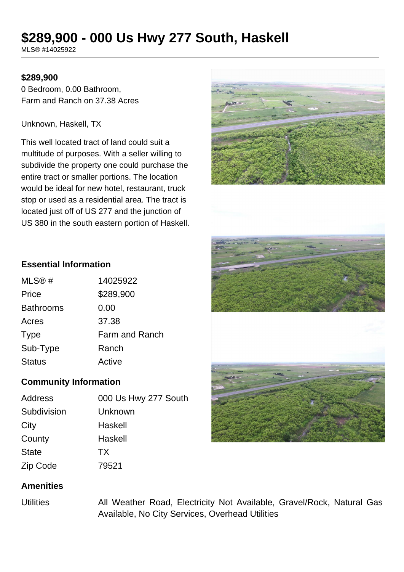# **\$289,900 - 000 Us Hwy 277 South, Haskell**

MLS® #14025922

## **\$289,900**

0 Bedroom, 0.00 Bathroom, Farm and Ranch on 37.38 Acres

Unknown, Haskell, TX

This well located tract of land could suit a multitude of purposes. With a seller willing to subdivide the property one could purchase the entire tract or smaller portions. The location would be ideal for new hotel, restaurant, truck stop or used as a residential area. The tract is located just off of US 277 and the junction of US 380 in the south eastern portion of Haskell.







#### **Essential Information**

| MLS@#            | 14025922              |
|------------------|-----------------------|
| Price            | \$289,900             |
| <b>Bathrooms</b> | 0.00                  |
| Acres            | 37.38                 |
| <b>Type</b>      | <b>Farm and Ranch</b> |
| Sub-Type         | Ranch                 |
| <b>Status</b>    | Active                |
|                  |                       |

# **Community Information**

| Address      | 000 Us Hwy 277 South |
|--------------|----------------------|
| Subdivision  | Unknown              |
| City         | Haskell              |
| County       | Haskell              |
| <b>State</b> | <b>TX</b>            |
| Zip Code     | 79521                |

## **Amenities**

Utilities All Weather Road, Electricity Not Available, Gravel/Rock, Natural Gas Available, No City Services, Overhead Utilities